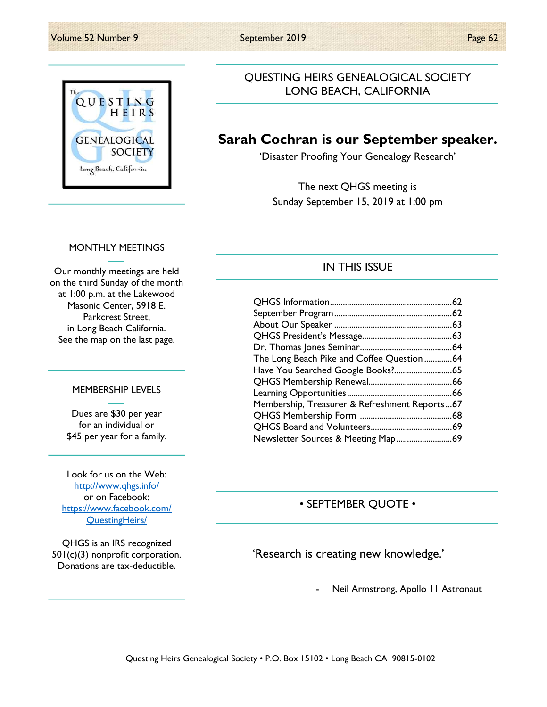

### QUESTING HEIRS GENEALOGICAL SOCIETY LONG BEACH, CALIFORNIA

## Sarah Cochran is our September speaker.

'Disaster Proofing Your Genealogy Research'

The next QHGS meeting is Sunday September 15, 2019 at 1:00 pm

### MONTHLY MEETINGS

Our monthly meetings are held on the third Sunday of the month at 1:00 p.m. at the Lakewood Masonic Center, 5918 E. Parkcrest Street, in Long Beach California. See the map on the last page.

#### MEMBERSHIP LEVELS

Dues are \$30 per year for an individual or \$45 per year for a family.

Look for us on the Web: http://www.qhgs.info/ or on Facebook: https://www.facebook.com/ QuestingHeirs/

QHGS is an IRS recognized 501(c)(3) nonprofit corporation. Donations are tax-deductible.

### IN THIS ISSUE

| The Long Beach Pike and Coffee Question 64    |  |
|-----------------------------------------------|--|
|                                               |  |
|                                               |  |
|                                               |  |
| Membership, Treasurer & Refreshment Reports67 |  |
|                                               |  |
|                                               |  |
|                                               |  |

### • SEPTEMBER QUOTE •

'Research is creating new knowledge.'

Neil Armstrong, Apollo 11 Astronaut

Questing Heirs Genealogical Society • P.O. Box 15102 • Long Beach CA 90815-0102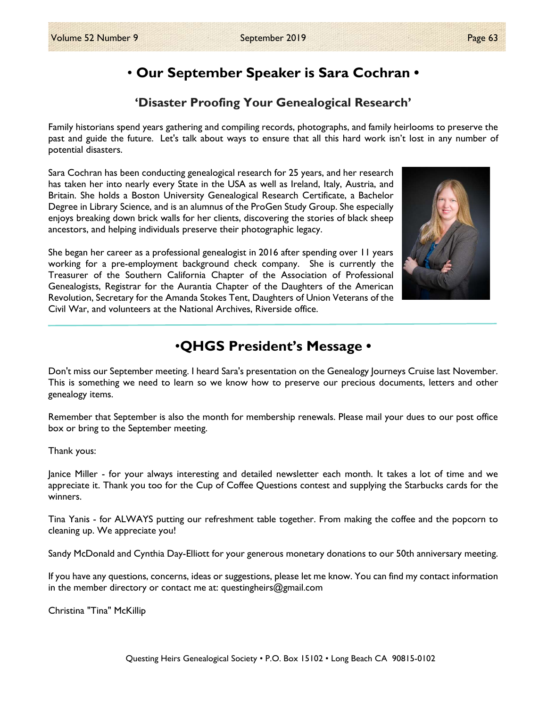# • Our September Speaker is Sara Cochran •

### 'Disaster Proofing Your Genealogical Research'

Family historians spend years gathering and compiling records, photographs, and family heirlooms to preserve the past and guide the future. Let's talk about ways to ensure that all this hard work isn't lost in any number of potential disasters.

Sara Cochran has been conducting genealogical research for 25 years, and her research has taken her into nearly every State in the USA as well as Ireland, Italy, Austria, and Britain. She holds a Boston University Genealogical Research Certificate, a Bachelor Degree in Library Science, and is an alumnus of the ProGen Study Group. She especially enjoys breaking down brick walls for her clients, discovering the stories of black sheep ancestors, and helping individuals preserve their photographic legacy.

She began her career as a professional genealogist in 2016 after spending over 11 years working for a pre-employment background check company. She is currently the Treasurer of the Southern California Chapter of the Association of Professional Genealogists, Registrar for the Aurantia Chapter of the Daughters of the American Revolution, Secretary for the Amanda Stokes Tent, Daughters of Union Veterans of the Civil War, and volunteers at the National Archives, Riverside office.



## •QHGS President's Message •

Don't miss our September meeting. I heard Sara's presentation on the Genealogy Journeys Cruise last November. This is something we need to learn so we know how to preserve our precious documents, letters and other genealogy items.

Remember that September is also the month for membership renewals. Please mail your dues to our post office box or bring to the September meeting.

Thank yous:

Janice Miller - for your always interesting and detailed newsletter each month. It takes a lot of time and we appreciate it. Thank you too for the Cup of Coffee Questions contest and supplying the Starbucks cards for the winners.

Tina Yanis - for ALWAYS putting our refreshment table together. From making the coffee and the popcorn to cleaning up. We appreciate you!

Sandy McDonald and Cynthia Day-Elliott for your generous monetary donations to our 50th anniversary meeting.

If you have any questions, concerns, ideas or suggestions, please let me know. You can find my contact information in the member directory or contact me at: questingheirs@gmail.com

Christina "Tina" McKillip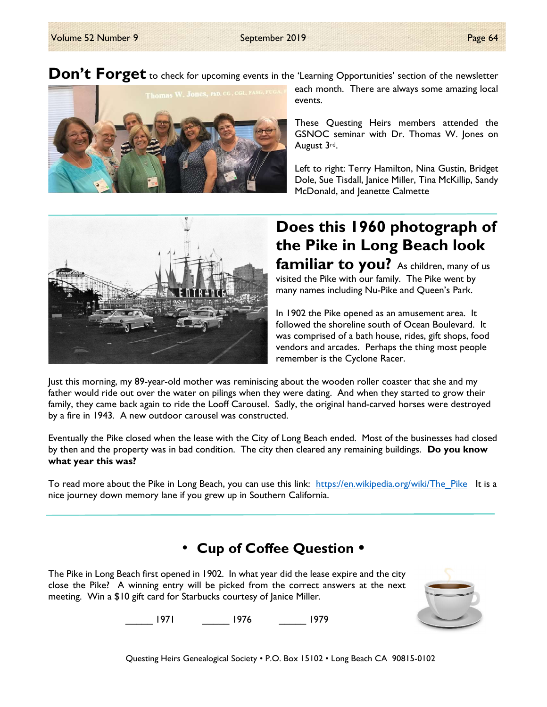Don't Forget to check for upcoming events in the 'Learning Opportunities' section of the newsletter



each month. There are always some amazing local events.

These Questing Heirs members attended the GSNOC seminar with Dr. Thomas W. Jones on August 3rd.

Left to right: Terry Hamilton, Nina Gustin, Bridget Dole, Sue Tisdall, Janice Miller, Tina McKillip, Sandy McDonald, and Jeanette Calmette



# Does this 1960 photograph of the Pike in Long Beach look familiar to you? As children, many of us

visited the Pike with our family. The Pike went by many names including Nu-Pike and Queen's Park.

In 1902 the Pike opened as an amusement area. It followed the shoreline south of Ocean Boulevard. It was comprised of a bath house, rides, gift shops, food vendors and arcades. Perhaps the thing most people remember is the Cyclone Racer.

Just this morning, my 89-year-old mother was reminiscing about the wooden roller coaster that she and my father would ride out over the water on pilings when they were dating. And when they started to grow their family, they came back again to ride the Looff Carousel. Sadly, the original hand-carved horses were destroyed by a fire in 1943. A new outdoor carousel was constructed.

Eventually the Pike closed when the lease with the City of Long Beach ended. Most of the businesses had closed by then and the property was in bad condition. The city then cleared any remaining buildings. Do you know what year this was?

To read more about the Pike in Long Beach, you can use this link: https://en.wikipedia.org/wiki/The\_Pike It is a nice journey down memory lane if you grew up in Southern California.

# • Cup of Coffee Question •

The Pike in Long Beach first opened in 1902. In what year did the lease expire and the city close the Pike? A winning entry will be picked from the correct answers at the next meeting. Win a \$10 gift card for Starbucks courtesy of Janice Miller.



\_\_\_\_\_ 1971 \_\_\_\_\_ 1976 \_\_\_\_\_ 1979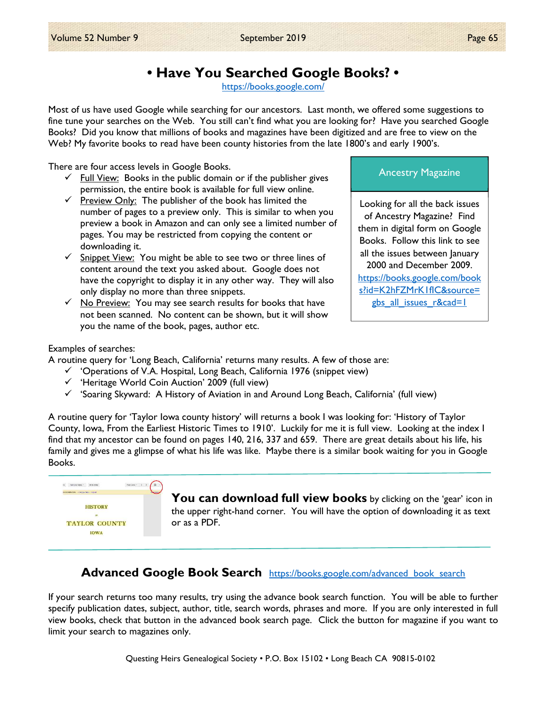# • Have You Searched Google Books? •

https://books.google.com/

Most of us have used Google while searching for our ancestors. Last month, we offered some suggestions to fine tune your searches on the Web. You still can't find what you are looking for? Have you searched Google Books? Did you know that millions of books and magazines have been digitized and are free to view on the Web? My favorite books to read have been county histories from the late 1800's and early 1900's.

There are four access levels in Google Books.

- Full View: Books in the public domain or if the publisher gives permission, the entire book is available for full view online.
- $\checkmark$  Preview Only: The publisher of the book has limited the number of pages to a preview only. This is similar to when you preview a book in Amazon and can only see a limited number of pages. You may be restricted from copying the content or downloading it.
- $\checkmark$  Snippet View: You might be able to see two or three lines of content around the text you asked about. Google does not have the copyright to display it in any other way. They will also only display no more than three snippets.
- $\checkmark$  No Preview: You may see search results for books that have not been scanned. No content can be shown, but it will show you the name of the book, pages, author etc.

#### Examples of searches:

A routine query for 'Long Beach, California' returns many results. A few of those are:

- $\checkmark$  'Operations of V.A. Hospital, Long Beach, California 1976 (snippet view)
- $\checkmark$  'Heritage World Coin Auction' 2009 (full view)
- $\checkmark$  'Soaring Skyward: A History of Aviation in and Around Long Beach, California' (full view)

A routine query for 'Taylor Iowa county history' will returns a book I was looking for: 'History of Taylor County, Iowa, From the Earliest Historic Times to 1910'. Luckily for me it is full view. Looking at the index I find that my ancestor can be found on pages 140, 216, 337 and 659. There are great details about his life, his family and gives me a glimpse of what his life was like. Maybe there is a similar book waiting for you in Google Books.



You can download full view books by clicking on the 'gear' icon in the upper right-hand corner. You will have the option of downloading it as text or as a PDF.

### Advanced Google Book Search https://books.google.com/advanced\_book\_search

If your search returns too many results, try using the advance book search function. You will be able to further specify publication dates, subject, author, title, search words, phrases and more. If you are only interested in full view books, check that button in the advanced book search page. Click the button for magazine if you want to limit your search to magazines only.

### Ancestry Magazine

Looking for all the back issues of Ancestry Magazine? Find them in digital form on Google Books. Follow this link to see all the issues between January 2000 and December 2009. https://books.google.com/book s?id=K2hFZMrK1fIC&source= gbs all issues r&cad=1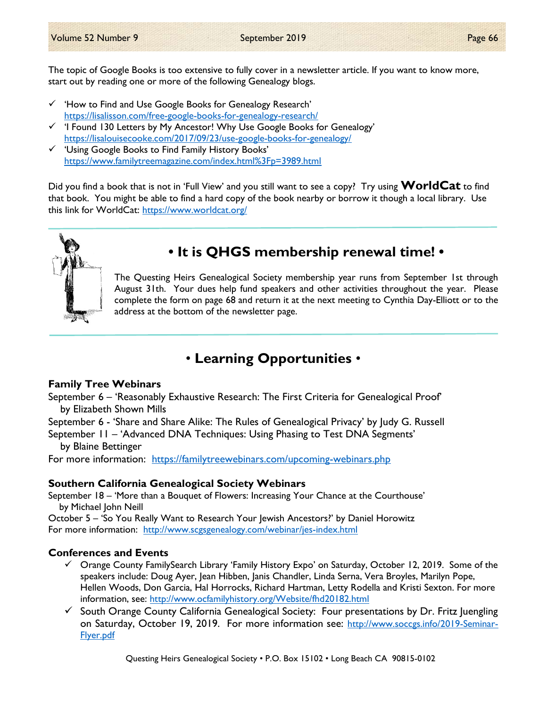The topic of Google Books is too extensive to fully cover in a newsletter article. If you want to know more, start out by reading one or more of the following Genealogy blogs.

- $\checkmark$  'How to Find and Use Google Books for Genealogy Research' https://lisalisson.com/free-google-books-for-genealogy-research/
- 'I Found 130 Letters by My Ancestor! Why Use Google Books for Genealogy' https://lisalouisecooke.com/2017/09/23/use-google-books-for-genealogy/
- $\checkmark$  'Using Google Books to Find Family History Books' https://www.familytreemagazine.com/index.html%3Fp=3989.html

Did you find a book that is not in 'Full View' and you still want to see a copy? Try using **WorldCat** to find that book. You might be able to find a hard copy of the book nearby or borrow it though a local library. Use this link for WorldCat: https://www.worldcat.org/



# • It is QHGS membership renewal time! •

The Questing Heirs Genealogical Society membership year runs from September 1st through August 31th. Your dues help fund speakers and other activities throughout the year. Please complete the form on page 68 and return it at the next meeting to Cynthia Day-Elliott or to the address at the bottom of the newsletter page.

# • Learning Opportunities •

### Family Tree Webinars

September 6 – 'Reasonably Exhaustive Research: The First Criteria for Genealogical Proof' by Elizabeth Shown Mills

September 6 - 'Share and Share Alike: The Rules of Genealogical Privacy' by Judy G. Russell

September 11 – 'Advanced DNA Techniques: Using Phasing to Test DNA Segments' by Blaine Bettinger

For more information: https://familytreewebinars.com/upcoming-webinars.php

### Southern California Genealogical Society Webinars

September 18 – 'More than a Bouquet of Flowers: Increasing Your Chance at the Courthouse' by Michael John Neill

October 5 – 'So You Really Want to Research Your Jewish Ancestors?' by Daniel Horowitz For more information: http://www.scgsgenealogy.com/webinar/jes-index.html

### Conferences and Events

- $\checkmark$  Orange County FamilySearch Library 'Family History Expo' on Saturday, October 12, 2019. Some of the speakers include: Doug Ayer, Jean Hibben, Janis Chandler, Linda Serna, Vera Broyles, Marilyn Pope, Hellen Woods, Don Garcia, Hal Horrocks, Richard Hartman, Letty Rodella and Kristi Sexton. For more information, see: http://www.ocfamilyhistory.org/Website/fhd20182.html
- $\checkmark$  South Orange County California Genealogical Society: Four presentations by Dr. Fritz Juengling on Saturday, October 19, 2019. For more information see: http://www.soccgs.info/2019-Seminar-Flyer.pdf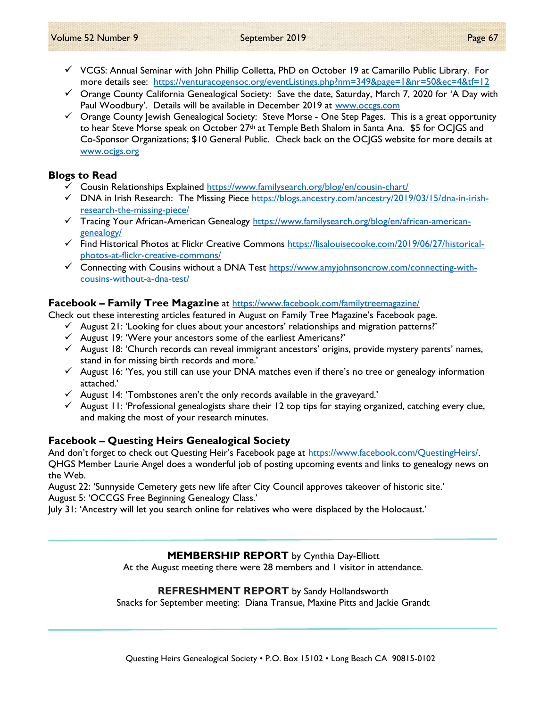- $\checkmark$  VCGS: Annual Seminar with John Phillip Colletta, PhD on October 19 at Camarillo Public Library. For more details see: https://venturacogensoc.org/eventListings.php?nm=349&page=1&nr=50&ec=4&tf=12
- $\checkmark$  Orange County California Genealogical Society: Save the date, Saturday, March 7, 2020 for 'A Day with Paul Woodbury'. Details will be available in December 2019 at www.occgs.com
- $\checkmark$  Orange County Jewish Genealogical Society: Steve Morse One Step Pages. This is a great opportunity to hear Steve Morse speak on October 27<sup>th</sup> at Temple Beth Shalom in Santa Ana. \$5 for OCJGS and Co-Sponsor Organizations; \$10 General Public. Check back on the OCJGS website for more details at www.ocjgs.org

### Blogs to Read

- Cousin Relationships Explained https://www.familysearch.org/blog/en/cousin-chart/
- $\checkmark$  DNA in Irish Research: The Missing Piece https://blogs.ancestry.com/ancestry/2019/03/15/dna-in-irishresearch-the-missing-piece/
- Tracing Your African-American Genealogy https://www.familysearch.org/blog/en/african-americangenealogy/
- Find Historical Photos at Flickr Creative Commons https://lisalouisecooke.com/2019/06/27/historicalphotos-at-flickr-creative-commons/
- $\checkmark$  Connecting with Cousins without a DNA Test https://www.amyjohnsoncrow.com/connecting-withcousins-without-a-dna-test/

### Facebook – Family Tree Magazine at https://www.facebook.com/familytreemagazine/

Check out these interesting articles featured in August on Family Tree Magazine's Facebook page.

- $\checkmark$  August 21: 'Looking for clues about your ancestors' relationships and migration patterns?'
- $\checkmark$  August 19: 'Were your ancestors some of the earliest Americans?'
- $\checkmark$  August 18: 'Church records can reveal immigrant ancestors' origins, provide mystery parents' names, stand in for missing birth records and more.'
- $\checkmark$  August 16: 'Yes, you still can use your DNA matches even if there's no tree or genealogy information attached.'
- $\checkmark$  August 14: 'Tombstones aren't the only records available in the graveyard.'
- $\checkmark$  August 11: 'Professional genealogists share their 12 top tips for staying organized, catching every clue, and making the most of your research minutes.

### Facebook – Questing Heirs Genealogical Society

And don't forget to check out Questing Heir's Facebook page at https://www.facebook.com/QuestingHeirs/. QHGS Member Laurie Angel does a wonderful job of posting upcoming events and links to genealogy news on the Web.

August 22: 'Sunnyside Cemetery gets new life after City Council approves takeover of historic site.' August 5: 'OCCGS Free Beginning Genealogy Class.'

July 31: 'Ancestry will let you search online for relatives who were displaced by the Holocaust.'

### MEMBERSHIP REPORT by Cynthia Day-Elliott

At the August meeting there were 28 members and 1 visitor in attendance.

### REFRESHMENT REPORT by Sandy Hollandsworth

Snacks for September meeting: Diana Transue, Maxine Pitts and Jackie Grandt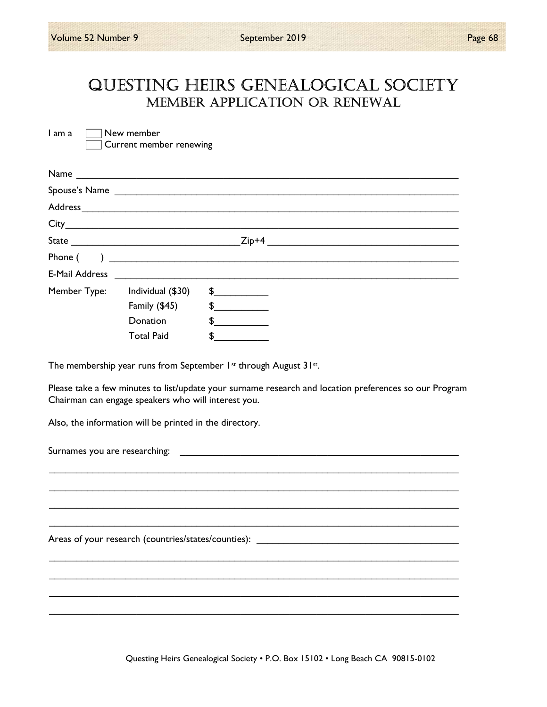# QUESTING HEIRS GENEALOGICAL SOCIETY MEMbER AppLICATION OR RENEwAL

 $I$  am a  $\Box$  New member Current member renewing

| Name           |                                                                |                                            |
|----------------|----------------------------------------------------------------|--------------------------------------------|
|                |                                                                | Spouse's Name                              |
|                |                                                                |                                            |
|                |                                                                |                                            |
|                |                                                                | $Zip+4$                                    |
| Phone (        | ) and the contract of the contract of $\overline{\phantom{a}}$ |                                            |
| E-Mail Address |                                                                |                                            |
| Member Type:   | Individual (\$30)                                              | $\frac{1}{\sqrt{2}}$                       |
|                | Family (\$45)                                                  | $\frac{1}{2}$                              |
|                | Donation                                                       | \$                                         |
|                | <b>Total Paid</b>                                              | \$<br><u>a sa mga salawang ng mga sang</u> |

The membership year runs from September 1st through August 31st.

Please take a few minutes to list/update your surname research and location preferences so our Program Chairman can engage speakers who will interest you.

 \_\_\_\_\_\_\_\_\_\_\_\_\_\_\_\_\_\_\_\_\_\_\_\_\_\_\_\_\_\_\_\_\_\_\_\_\_\_\_\_\_\_\_\_\_\_\_\_\_\_\_\_\_\_\_\_\_\_\_\_\_\_\_\_\_\_\_\_\_\_\_\_\_\_\_ \_\_\_\_\_\_\_\_\_\_\_\_\_\_\_\_\_\_\_\_\_\_\_\_\_\_\_\_\_\_\_\_\_\_\_\_\_\_\_\_\_\_\_\_\_\_\_\_\_\_\_\_\_\_\_\_\_\_\_\_\_\_\_\_\_\_\_\_\_\_\_\_\_\_\_ \_\_\_\_\_\_\_\_\_\_\_\_\_\_\_\_\_\_\_\_\_\_\_\_\_\_\_\_\_\_\_\_\_\_\_\_\_\_\_\_\_\_\_\_\_\_\_\_\_\_\_\_\_\_\_\_\_\_\_\_\_\_\_\_\_\_\_\_\_\_\_\_\_\_\_ \_\_\_\_\_\_\_\_\_\_\_\_\_\_\_\_\_\_\_\_\_\_\_\_\_\_\_\_\_\_\_\_\_\_\_\_\_\_\_\_\_\_\_\_\_\_\_\_\_\_\_\_\_\_\_\_\_\_\_\_\_\_\_\_\_\_\_\_\_\_\_\_\_\_\_

 \_\_\_\_\_\_\_\_\_\_\_\_\_\_\_\_\_\_\_\_\_\_\_\_\_\_\_\_\_\_\_\_\_\_\_\_\_\_\_\_\_\_\_\_\_\_\_\_\_\_\_\_\_\_\_\_\_\_\_\_\_\_\_\_\_\_\_\_\_\_\_\_\_\_\_ \_\_\_\_\_\_\_\_\_\_\_\_\_\_\_\_\_\_\_\_\_\_\_\_\_\_\_\_\_\_\_\_\_\_\_\_\_\_\_\_\_\_\_\_\_\_\_\_\_\_\_\_\_\_\_\_\_\_\_\_\_\_\_\_\_\_\_\_\_\_\_\_\_\_\_ \_\_\_\_\_\_\_\_\_\_\_\_\_\_\_\_\_\_\_\_\_\_\_\_\_\_\_\_\_\_\_\_\_\_\_\_\_\_\_\_\_\_\_\_\_\_\_\_\_\_\_\_\_\_\_\_\_\_\_\_\_\_\_\_\_\_\_\_\_\_\_\_\_\_\_ \_\_\_\_\_\_\_\_\_\_\_\_\_\_\_\_\_\_\_\_\_\_\_\_\_\_\_\_\_\_\_\_\_\_\_\_\_\_\_\_\_\_\_\_\_\_\_\_\_\_\_\_\_\_\_\_\_\_\_\_\_\_\_\_\_\_\_\_\_\_\_\_\_\_\_

Also, the information will be printed in the directory.

Surnames you are researching:

Areas of your research (countries/states/counties): \_\_\_\_\_\_\_\_\_\_\_\_\_\_\_\_\_\_\_\_\_\_\_\_\_\_\_\_